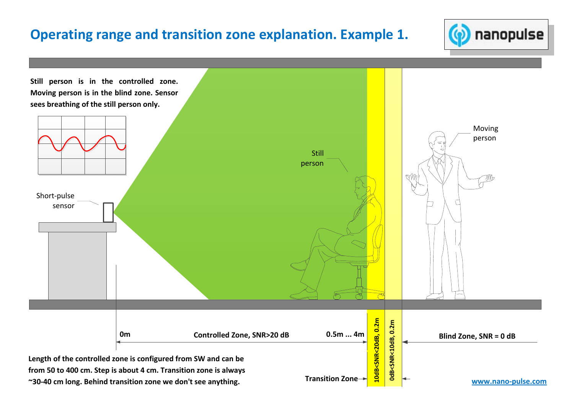## **Operating range and transition zone explanation. Example 1.**



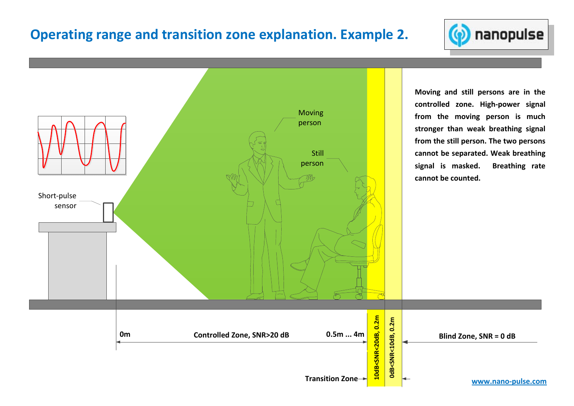## **Operating range and transition zone explanation. Example 2.**



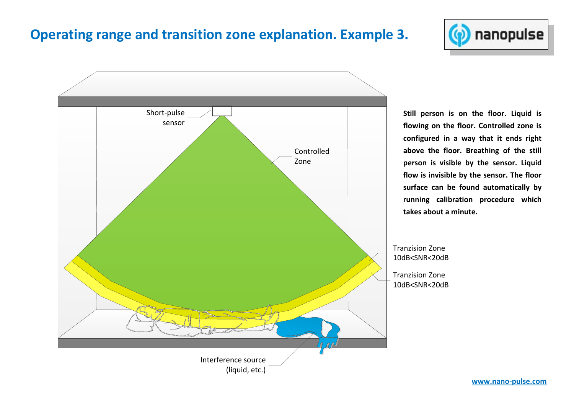## **Operating range and transition zone explanation. Example 3.**





**Still person is on the floor. Liquid is flowing on the floor. Controlled zone is configured in a way that it ends right above the floor. Breathing of the still person is visible by the sensor. Liquid flow is invisible by the sensor. The floor surface can be found automatically by running calibration procedure which takes about a minute.**

Tranzision Zone 10dB<SNR<20dB Tranzision Zone10dB<SNR<20dB